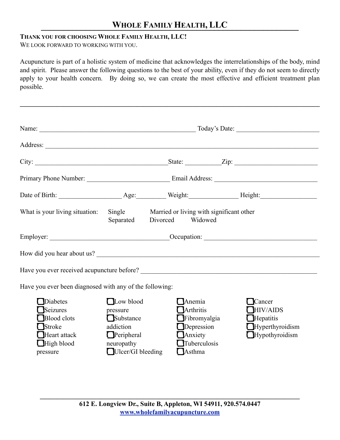### **THANK YOU FOR CHOOSING WHOLE FAMILY HEALTH, LLC!**

WE LOOK FORWARD TO WORKING WITH YOU.

Acupuncture is part of a holistic system of medicine that acknowledges the interrelationships of the body, mind and spirit. Please answer the following questions to the best of your ability, even if they do not seem to directly apply to your health concern. By doing so, we can create the most effective and efficient treatment plan possible.

 $\mathcal{L}_\mathcal{L} = \{ \mathcal{L}_\mathcal{L} = \{ \mathcal{L}_\mathcal{L} = \{ \mathcal{L}_\mathcal{L} = \{ \mathcal{L}_\mathcal{L} = \{ \mathcal{L}_\mathcal{L} = \{ \mathcal{L}_\mathcal{L} = \{ \mathcal{L}_\mathcal{L} = \{ \mathcal{L}_\mathcal{L} = \{ \mathcal{L}_\mathcal{L} = \{ \mathcal{L}_\mathcal{L} = \{ \mathcal{L}_\mathcal{L} = \{ \mathcal{L}_\mathcal{L} = \{ \mathcal{L}_\mathcal{L} = \{ \mathcal{L}_\mathcal{$ 

| What is your living situation: Single Married or living with significant other                           | Separated                                                                                               | Divorced | Widowed                                                                                                        |  |                                                                                                  |  |
|----------------------------------------------------------------------------------------------------------|---------------------------------------------------------------------------------------------------------|----------|----------------------------------------------------------------------------------------------------------------|--|--------------------------------------------------------------------------------------------------|--|
|                                                                                                          |                                                                                                         |          |                                                                                                                |  |                                                                                                  |  |
| How did you hear about us?                                                                               |                                                                                                         |          |                                                                                                                |  |                                                                                                  |  |
|                                                                                                          |                                                                                                         |          |                                                                                                                |  |                                                                                                  |  |
| Have you ever been diagnosed with any of the following:                                                  |                                                                                                         |          |                                                                                                                |  |                                                                                                  |  |
| Diabetes<br><b>ISeizures</b><br>Blood clots<br><b>I</b> Stroke<br>Heart attack<br>High blood<br>pressure | Low blood<br>pressure<br>Substance<br>addiction<br>$\Box$ Peripheral<br>neuropathy<br>Ulcer/GI bleeding |          | <b>Anemia</b><br><b>LArthritis</b><br>Fibromyalgia<br>Depression<br>Anxiety<br>Tuberculosis<br><b>I</b> Asthma |  | Cancer<br><b>HIV/AIDS</b><br>$\Box$ Hepatitis<br>$\Box$ Hyperthyroidism<br>$\Box$ Hypothyroidism |  |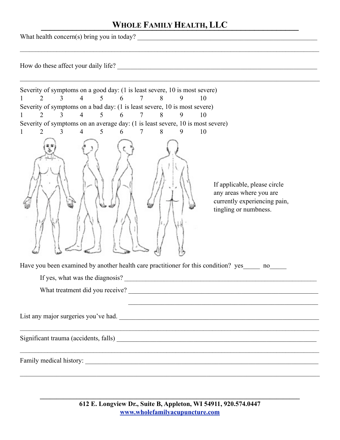$\mathcal{L}_\mathcal{L} = \mathcal{L}_\mathcal{L} = \mathcal{L}_\mathcal{L} = \mathcal{L}_\mathcal{L} = \mathcal{L}_\mathcal{L} = \mathcal{L}_\mathcal{L} = \mathcal{L}_\mathcal{L} = \mathcal{L}_\mathcal{L} = \mathcal{L}_\mathcal{L} = \mathcal{L}_\mathcal{L} = \mathcal{L}_\mathcal{L} = \mathcal{L}_\mathcal{L} = \mathcal{L}_\mathcal{L} = \mathcal{L}_\mathcal{L} = \mathcal{L}_\mathcal{L} = \mathcal{L}_\mathcal{L} = \mathcal{L}_\mathcal{L}$ 

What health concern(s) bring you in today?

How do these affect your daily life? \_\_\_\_\_\_\_\_\_\_\_\_\_\_\_\_\_\_\_\_\_\_\_\_\_\_\_\_\_\_\_\_\_\_\_\_\_\_\_\_\_\_\_\_\_\_\_\_\_\_\_\_\_\_\_\_\_\_\_\_

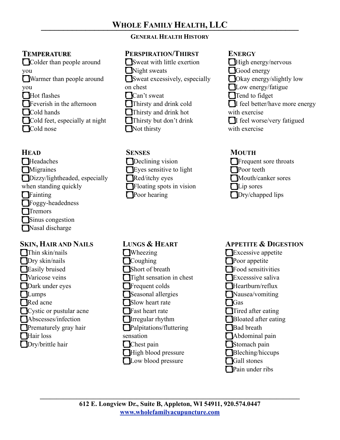# **GENERAL HEALTH HISTORY**

# **TEMPERATURE**

Colder than people around you Warmer than people around you  $\prod$ Hot flashes **T**Feverish in the afternoon Cold hands Cold feet, especially at night **Cold** nose

## **HEAD**

- **T**Headaches **T**Migraines Dizzy/lightheaded, especially when standing quickly **T**Fainting Foggy-headedness **T**Tremors **T**Sinus congestion
- Nasal discharge

# **SKIN, HAIR AND NAILS**

Thin skin/nails **D**ry skin/nails **T**Easily bruised **Naricose** veins Dark under eyes **TLumps** Red acne **Cystic or pustular acne** Abscesses/infection **P**rematurely gray hair **Hair** loss Dry/brittle hair

# **PERSPIRATION/THIRST**

Sweat with little exertion Night sweats Sweat excessively, especially on chest Can't sweat Thirsty and drink cold Thirsty and drink hot Thirsty but don't drink Not thirsty

## **SENSES**

**Declining vision** Eyes sensitive to light Red/itchy eyes **T**Floating spots in vision **Poor** hearing

## **LUNGS & HEART**

**T**Wheezing **C**oughing Short of breath **Tight sensation in chest T**Frequent colds Seasonal allergies Slow heart rate **T**Fast heart rate **T**Irregular rhythm Palpitations/fluttering sensation Chest pain **High blood pressure Low blood pressure** 

## **ENERGY**

**High energy/nervous** Good energy Okay energy/slightly low **Low energy/fatigue** Tend to fidget I feel better/have more energy with exercise I feel worse/very fatigued with exercise

# **MOUTH**



## **APPETITE & DIGESTION**

**Excessive appetite Poor** appetite **Food sensitivities Excesssive saliva** Heartburn/reflux Nausea/vomiting **T**Gas Tired after eating **Bloated after eating Bad** breath **T**Abdominal pain Stomach pain Bleching/hiccups **T**Gall stones **Pain under ribs**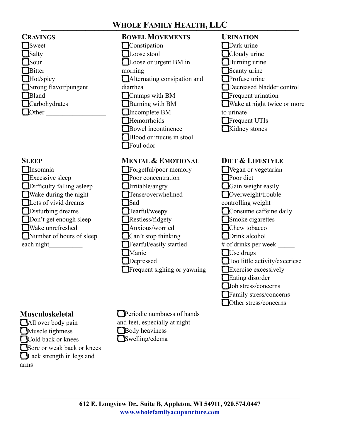| <b>CRAVINGS</b>       |
|-----------------------|
| <b>Sweet</b>          |
| Salty                 |
| <b>I</b> Sour         |
| <b>Bitter</b>         |
| Hot/spicy             |
| Strong flavor/pungent |
| Bland                 |
| Carbohydrates         |
| <b>Other</b>          |
|                       |

#### **SLEEP**

**T**Insomnia Excessive sleep **D**ifficulty falling asleep Wake during the night Lots of vivid dreams **D**isturbing dreams Don't get enough sleep Wake unrefreshed Number of hours of sleep each night\_\_\_\_\_\_\_\_\_\_

# **Musculoskeletal**

**All** over body pain **Muscle** tightness Cold back or knees Sore or weak back or knees Lack strength in legs and

arms

**BOWEL MOVEMENTS Constipation** Loose stool Loose or urgent BM in morning Alternating consipation and diarrhea Cramps with BM Burning with BM Incomplete BM **Hemorrhoids Bowel** incontinence **Blood or mucus in stool** Foul odor

#### **MENTAL & EMOTIONAL**

Forgetful/poor memory **Poor** concentration **I**rritable/angry Tense/overwhelmed **TSad** Tearful/weepy Restless/fidgety Anxious/worried Can't stop thinking **Fearful**/easily startled **Manic Depressed T**Frequent sighing or yawning

**Periodic numbness of hands** and feet, especially at night **Body** heaviness Swelling/edema

**URINATION** Dark urine Cloudy urine **Burning urine** Scanty urine **Profuse urine** Decreased bladder control **T**Frequent urination Wake at night twice or more to urinate **T**Frequent UTIs Kidney stones

#### **DIET & LIFESTYLE**

Wegan or vegetarian **Poor** diet Gain weight easily Overweight/trouble controlling weight Consume caffeine daily Smoke cigarettes **Chew** tobacco **D**rink alcohol # of drinks per week \_\_\_\_\_\_ Use drugs Too little activity/excericse Exercise excessively **Eating disorder Job** stress/concerns **T**Family stress/concerns Other stress/concerns